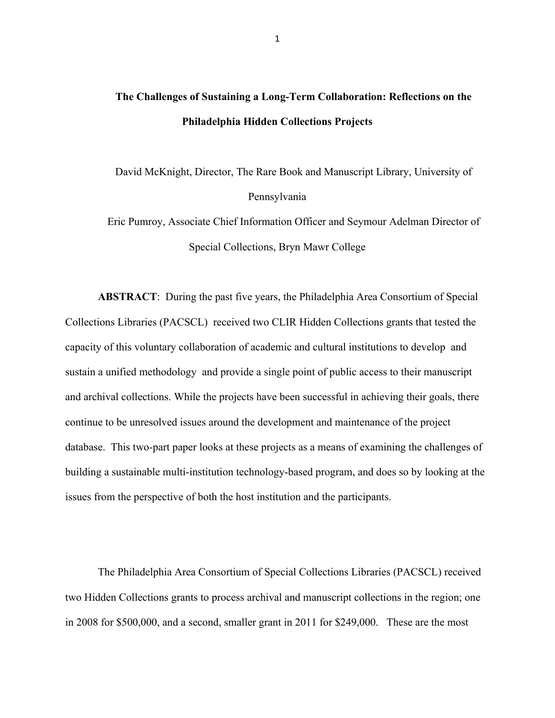## **The Challenges of Sustaining a Long-Term Collaboration: Reflections on the Philadelphia Hidden Collections Projects**

David McKnight, Director, The Rare Book and Manuscript Library, University of Pennsylvania

Eric Pumroy, Associate Chief Information Officer and Seymour Adelman Director of Special Collections, Bryn Mawr College

**ABSTRACT**: During the past five years, the Philadelphia Area Consortium of Special Collections Libraries (PACSCL) received two CLIR Hidden Collections grants that tested the capacity of this voluntary collaboration of academic and cultural institutions to develop and sustain a unified methodology and provide a single point of public access to their manuscript and archival collections. While the projects have been successful in achieving their goals, there continue to be unresolved issues around the development and maintenance of the project database. This two-part paper looks at these projects as a means of examining the challenges of building a sustainable multi-institution technology-based program, and does so by looking at the issues from the perspective of both the host institution and the participants.

The Philadelphia Area Consortium of Special Collections Libraries (PACSCL) received two Hidden Collections grants to process archival and manuscript collections in the region; one in 2008 for \$500,000, and a second, smaller grant in 2011 for \$249,000. These are the most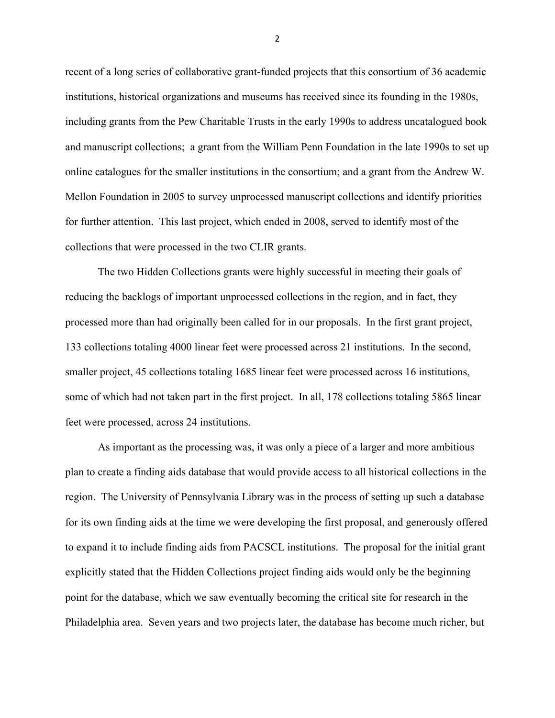recent of a long series of collaborative grant-funded projects that this consortium of 36 academic institutions, historical organizations and museums has received since its founding in the 1980s, including grants from the Pew Charitable Trusts in the early 1990s to address uncatalogued book and manuscript collections; a grant from the William Penn Foundation in the late 1990s to set up online catalogues for the smaller institutions in the consortium; and a grant from the Andrew W. Mellon Foundation in 2005 to survey unprocessed manuscript collections and identify priorities for further attention. This last project, which ended in 2008, served to identify most of the collections that were processed in the two CLIR grants.

The two Hidden Collections grants were highly successful in meeting their goals of reducing the backlogs of important unprocessed collections in the region, and in fact, they processed more than had originally been called for in our proposals. In the first grant project, 133 collections totaling 4000 linear feet were processed across 21 institutions. In the second, smaller project, 45 collections totaling 1685 linear feet were processed across 16 institutions, some of which had not taken part in the first project. In all, 178 collections totaling 5865 linear feet were processed, across 24 institutions.

As important as the processing was, it was only a piece of a larger and more ambitious plan to create a finding aids database that would provide access to all historical collections in the region. The University of Pennsylvania Library was in the process of setting up such a database for its own finding aids at the time we were developing the first proposal, and generously offered to expand it to include finding aids from PACSCL institutions. The proposal for the initial grant explicitly stated that the Hidden Collections project finding aids would only be the beginning point for the database, which we saw eventually becoming the critical site for research in the Philadelphia area. Seven years and two projects later, the database has become much richer, but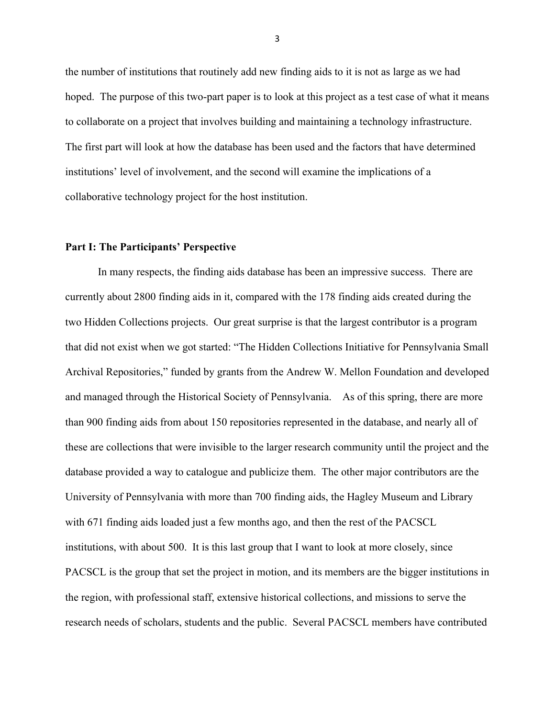the number of institutions that routinely add new finding aids to it is not as large as we had hoped. The purpose of this two-part paper is to look at this project as a test case of what it means to collaborate on a project that involves building and maintaining a technology infrastructure. The first part will look at how the database has been used and the factors that have determined institutions' level of involvement, and the second will examine the implications of a collaborative technology project for the host institution.

## **Part I: The Participants' Perspective**

In many respects, the finding aids database has been an impressive success. There are currently about 2800 finding aids in it, compared with the 178 finding aids created during the two Hidden Collections projects. Our great surprise is that the largest contributor is a program that did not exist when we got started: "The Hidden Collections Initiative for Pennsylvania Small Archival Repositories," funded by grants from the Andrew W. Mellon Foundation and developed and managed through the Historical Society of Pennsylvania. As of this spring, there are more than 900 finding aids from about 150 repositories represented in the database, and nearly all of these are collections that were invisible to the larger research community until the project and the database provided a way to catalogue and publicize them. The other major contributors are the University of Pennsylvania with more than 700 finding aids, the Hagley Museum and Library with 671 finding aids loaded just a few months ago, and then the rest of the PACSCL institutions, with about 500. It is this last group that I want to look at more closely, since PACSCL is the group that set the project in motion, and its members are the bigger institutions in the region, with professional staff, extensive historical collections, and missions to serve the research needs of scholars, students and the public. Several PACSCL members have contributed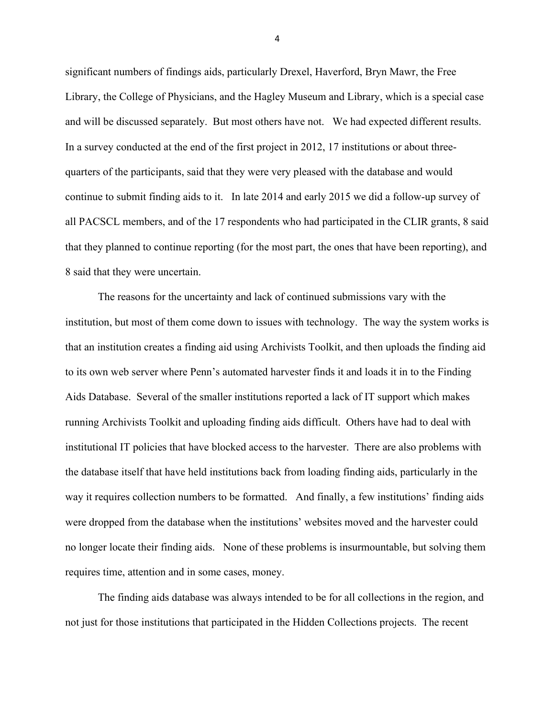significant numbers of findings aids, particularly Drexel, Haverford, Bryn Mawr, the Free Library, the College of Physicians, and the Hagley Museum and Library, which is a special case and will be discussed separately. But most others have not. We had expected different results. In a survey conducted at the end of the first project in 2012, 17 institutions or about threequarters of the participants, said that they were very pleased with the database and would continue to submit finding aids to it. In late 2014 and early 2015 we did a follow-up survey of all PACSCL members, and of the 17 respondents who had participated in the CLIR grants, 8 said that they planned to continue reporting (for the most part, the ones that have been reporting), and 8 said that they were uncertain.

The reasons for the uncertainty and lack of continued submissions vary with the institution, but most of them come down to issues with technology. The way the system works is that an institution creates a finding aid using Archivists Toolkit, and then uploads the finding aid to its own web server where Penn's automated harvester finds it and loads it in to the Finding Aids Database. Several of the smaller institutions reported a lack of IT support which makes running Archivists Toolkit and uploading finding aids difficult. Others have had to deal with institutional IT policies that have blocked access to the harvester. There are also problems with the database itself that have held institutions back from loading finding aids, particularly in the way it requires collection numbers to be formatted. And finally, a few institutions' finding aids were dropped from the database when the institutions' websites moved and the harvester could no longer locate their finding aids. None of these problems is insurmountable, but solving them requires time, attention and in some cases, money.

The finding aids database was always intended to be for all collections in the region, and not just for those institutions that participated in the Hidden Collections projects. The recent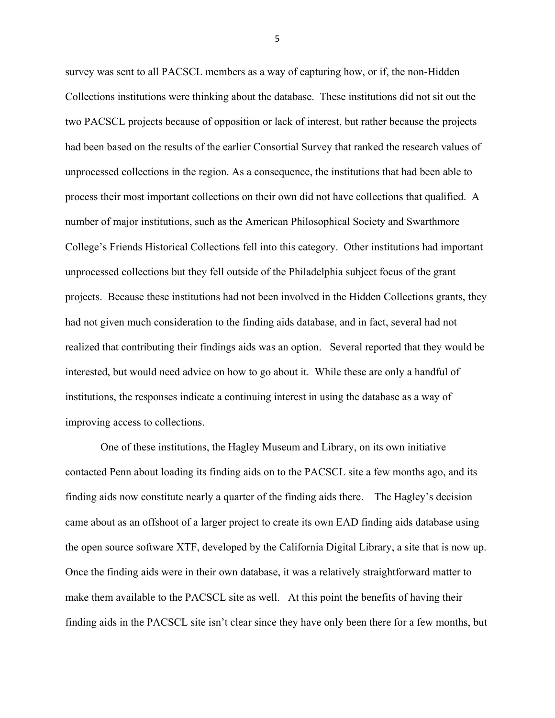survey was sent to all PACSCL members as a way of capturing how, or if, the non-Hidden Collections institutions were thinking about the database. These institutions did not sit out the two PACSCL projects because of opposition or lack of interest, but rather because the projects had been based on the results of the earlier Consortial Survey that ranked the research values of unprocessed collections in the region. As a consequence, the institutions that had been able to process their most important collections on their own did not have collections that qualified. A number of major institutions, such as the American Philosophical Society and Swarthmore College's Friends Historical Collections fell into this category. Other institutions had important unprocessed collections but they fell outside of the Philadelphia subject focus of the grant projects. Because these institutions had not been involved in the Hidden Collections grants, they had not given much consideration to the finding aids database, and in fact, several had not realized that contributing their findings aids was an option. Several reported that they would be interested, but would need advice on how to go about it. While these are only a handful of institutions, the responses indicate a continuing interest in using the database as a way of improving access to collections.

One of these institutions, the Hagley Museum and Library, on its own initiative contacted Penn about loading its finding aids on to the PACSCL site a few months ago, and its finding aids now constitute nearly a quarter of the finding aids there. The Hagley's decision came about as an offshoot of a larger project to create its own EAD finding aids database using the open source software XTF, developed by the California Digital Library, a site that is now up. Once the finding aids were in their own database, it was a relatively straightforward matter to make them available to the PACSCL site as well. At this point the benefits of having their finding aids in the PACSCL site isn't clear since they have only been there for a few months, but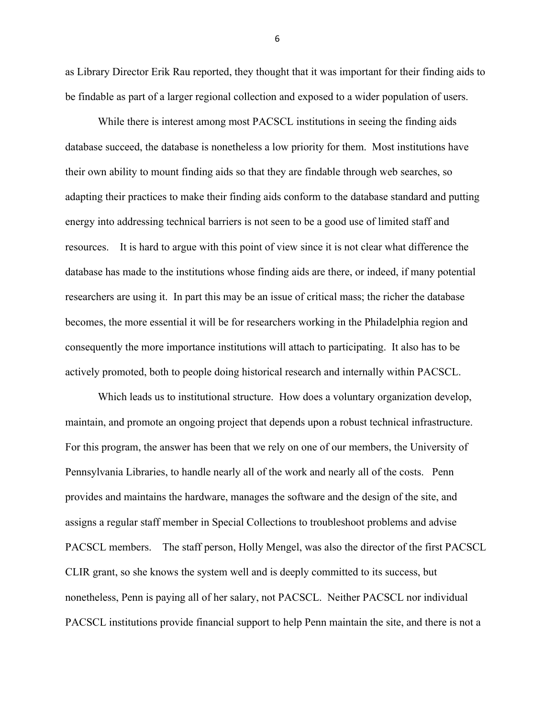as Library Director Erik Rau reported, they thought that it was important for their finding aids to be findable as part of a larger regional collection and exposed to a wider population of users.

While there is interest among most PACSCL institutions in seeing the finding aids database succeed, the database is nonetheless a low priority for them. Most institutions have their own ability to mount finding aids so that they are findable through web searches, so adapting their practices to make their finding aids conform to the database standard and putting energy into addressing technical barriers is not seen to be a good use of limited staff and resources. It is hard to argue with this point of view since it is not clear what difference the database has made to the institutions whose finding aids are there, or indeed, if many potential researchers are using it. In part this may be an issue of critical mass; the richer the database becomes, the more essential it will be for researchers working in the Philadelphia region and consequently the more importance institutions will attach to participating. It also has to be actively promoted, both to people doing historical research and internally within PACSCL.

Which leads us to institutional structure. How does a voluntary organization develop, maintain, and promote an ongoing project that depends upon a robust technical infrastructure. For this program, the answer has been that we rely on one of our members, the University of Pennsylvania Libraries, to handle nearly all of the work and nearly all of the costs. Penn provides and maintains the hardware, manages the software and the design of the site, and assigns a regular staff member in Special Collections to troubleshoot problems and advise PACSCL members. The staff person, Holly Mengel, was also the director of the first PACSCL CLIR grant, so she knows the system well and is deeply committed to its success, but nonetheless, Penn is paying all of her salary, not PACSCL. Neither PACSCL nor individual PACSCL institutions provide financial support to help Penn maintain the site, and there is not a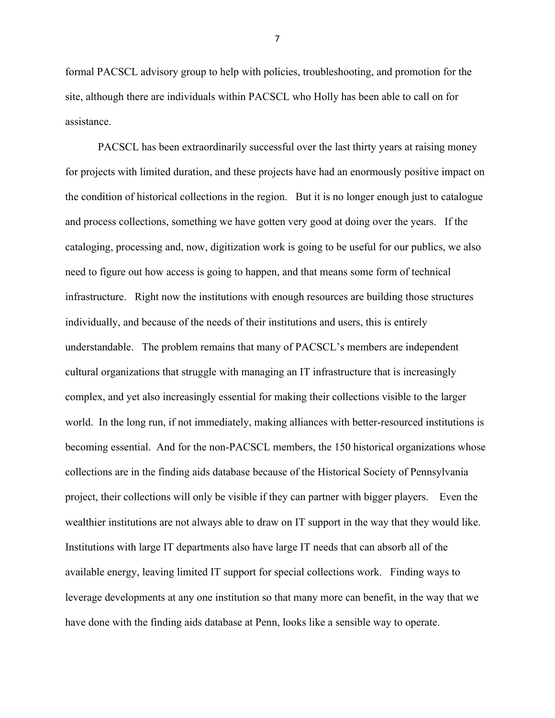formal PACSCL advisory group to help with policies, troubleshooting, and promotion for the site, although there are individuals within PACSCL who Holly has been able to call on for assistance.

PACSCL has been extraordinarily successful over the last thirty years at raising money for projects with limited duration, and these projects have had an enormously positive impact on the condition of historical collections in the region. But it is no longer enough just to catalogue and process collections, something we have gotten very good at doing over the years. If the cataloging, processing and, now, digitization work is going to be useful for our publics, we also need to figure out how access is going to happen, and that means some form of technical infrastructure. Right now the institutions with enough resources are building those structures individually, and because of the needs of their institutions and users, this is entirely understandable. The problem remains that many of PACSCL's members are independent cultural organizations that struggle with managing an IT infrastructure that is increasingly complex, and yet also increasingly essential for making their collections visible to the larger world. In the long run, if not immediately, making alliances with better-resourced institutions is becoming essential. And for the non-PACSCL members, the 150 historical organizations whose collections are in the finding aids database because of the Historical Society of Pennsylvania project, their collections will only be visible if they can partner with bigger players. Even the wealthier institutions are not always able to draw on IT support in the way that they would like. Institutions with large IT departments also have large IT needs that can absorb all of the available energy, leaving limited IT support for special collections work. Finding ways to leverage developments at any one institution so that many more can benefit, in the way that we have done with the finding aids database at Penn, looks like a sensible way to operate.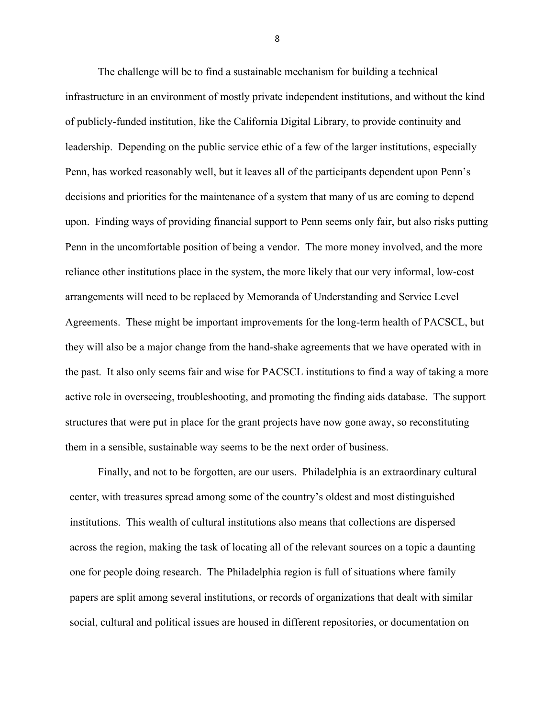The challenge will be to find a sustainable mechanism for building a technical infrastructure in an environment of mostly private independent institutions, and without the kind of publicly-funded institution, like the California Digital Library, to provide continuity and leadership. Depending on the public service ethic of a few of the larger institutions, especially Penn, has worked reasonably well, but it leaves all of the participants dependent upon Penn's decisions and priorities for the maintenance of a system that many of us are coming to depend upon. Finding ways of providing financial support to Penn seems only fair, but also risks putting Penn in the uncomfortable position of being a vendor. The more money involved, and the more reliance other institutions place in the system, the more likely that our very informal, low-cost arrangements will need to be replaced by Memoranda of Understanding and Service Level Agreements. These might be important improvements for the long-term health of PACSCL, but they will also be a major change from the hand-shake agreements that we have operated with in the past. It also only seems fair and wise for PACSCL institutions to find a way of taking a more active role in overseeing, troubleshooting, and promoting the finding aids database. The support structures that were put in place for the grant projects have now gone away, so reconstituting them in a sensible, sustainable way seems to be the next order of business.

Finally, and not to be forgotten, are our users. Philadelphia is an extraordinary cultural center, with treasures spread among some of the country's oldest and most distinguished institutions. This wealth of cultural institutions also means that collections are dispersed across the region, making the task of locating all of the relevant sources on a topic a daunting one for people doing research. The Philadelphia region is full of situations where family papers are split among several institutions, or records of organizations that dealt with similar social, cultural and political issues are housed in different repositories, or documentation on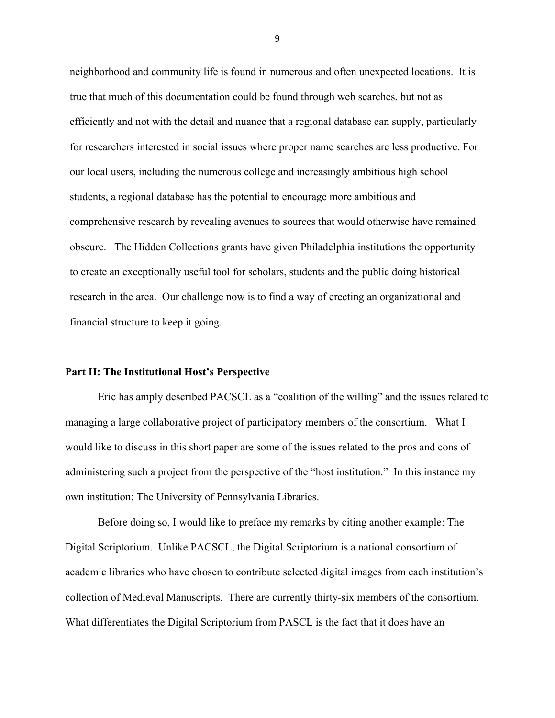neighborhood and community life is found in numerous and often unexpected locations. It is true that much of this documentation could be found through web searches, but not as efficiently and not with the detail and nuance that a regional database can supply, particularly for researchers interested in social issues where proper name searches are less productive. For our local users, including the numerous college and increasingly ambitious high school students, a regional database has the potential to encourage more ambitious and comprehensive research by revealing avenues to sources that would otherwise have remained obscure. The Hidden Collections grants have given Philadelphia institutions the opportunity to create an exceptionally useful tool for scholars, students and the public doing historical research in the area. Our challenge now is to find a way of erecting an organizational and financial structure to keep it going.

## **Part II: The Institutional Host's Perspective**

Eric has amply described PACSCL as a "coalition of the willing" and the issues related to managing a large collaborative project of participatory members of the consortium. What I would like to discuss in this short paper are some of the issues related to the pros and cons of administering such a project from the perspective of the "host institution." In this instance my own institution: The University of Pennsylvania Libraries.

Before doing so, I would like to preface my remarks by citing another example: The Digital Scriptorium. Unlike PACSCL, the Digital Scriptorium is a national consortium of academic libraries who have chosen to contribute selected digital images from each institution's collection of Medieval Manuscripts. There are currently thirty-six members of the consortium. What differentiates the Digital Scriptorium from PASCL is the fact that it does have an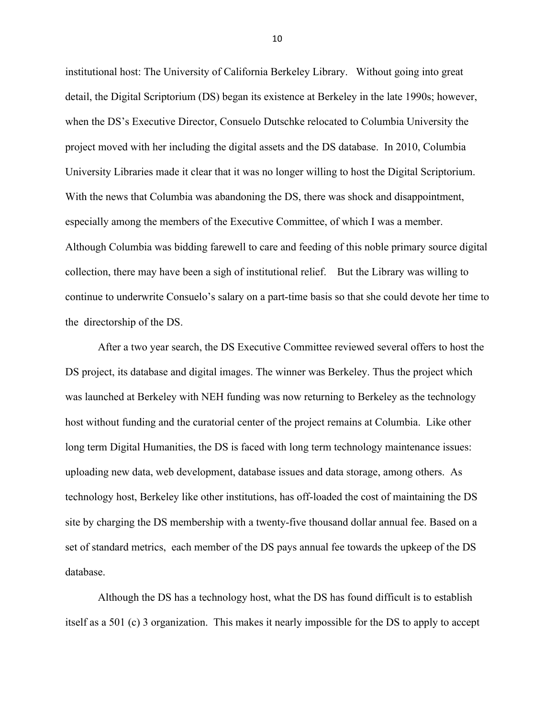institutional host: The University of California Berkeley Library. Without going into great detail, the Digital Scriptorium (DS) began its existence at Berkeley in the late 1990s; however, when the DS's Executive Director, Consuelo Dutschke relocated to Columbia University the project moved with her including the digital assets and the DS database. In 2010, Columbia University Libraries made it clear that it was no longer willing to host the Digital Scriptorium. With the news that Columbia was abandoning the DS, there was shock and disappointment, especially among the members of the Executive Committee, of which I was a member. Although Columbia was bidding farewell to care and feeding of this noble primary source digital collection, there may have been a sigh of institutional relief. But the Library was willing to continue to underwrite Consuelo's salary on a part-time basis so that she could devote her time to the directorship of the DS.

After a two year search, the DS Executive Committee reviewed several offers to host the DS project, its database and digital images. The winner was Berkeley. Thus the project which was launched at Berkeley with NEH funding was now returning to Berkeley as the technology host without funding and the curatorial center of the project remains at Columbia. Like other long term Digital Humanities, the DS is faced with long term technology maintenance issues: uploading new data, web development, database issues and data storage, among others. As technology host, Berkeley like other institutions, has off-loaded the cost of maintaining the DS site by charging the DS membership with a twenty-five thousand dollar annual fee. Based on a set of standard metrics, each member of the DS pays annual fee towards the upkeep of the DS database.

Although the DS has a technology host, what the DS has found difficult is to establish itself as a 501 (c) 3 organization. This makes it nearly impossible for the DS to apply to accept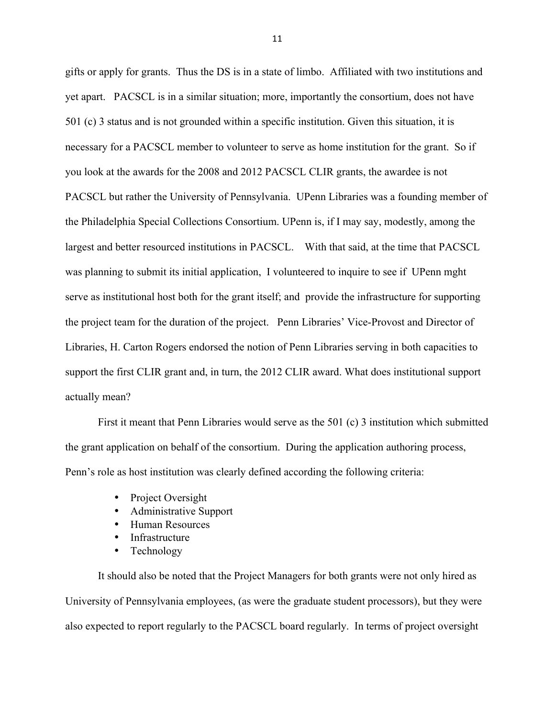gifts or apply for grants. Thus the DS is in a state of limbo. Affiliated with two institutions and yet apart. PACSCL is in a similar situation; more, importantly the consortium, does not have 501 (c) 3 status and is not grounded within a specific institution. Given this situation, it is necessary for a PACSCL member to volunteer to serve as home institution for the grant. So if you look at the awards for the 2008 and 2012 PACSCL CLIR grants, the awardee is not PACSCL but rather the University of Pennsylvania. UPenn Libraries was a founding member of the Philadelphia Special Collections Consortium. UPenn is, if I may say, modestly, among the largest and better resourced institutions in PACSCL. With that said, at the time that PACSCL was planning to submit its initial application, I volunteered to inquire to see if UPenn mght serve as institutional host both for the grant itself; and provide the infrastructure for supporting the project team for the duration of the project. Penn Libraries' Vice-Provost and Director of Libraries, H. Carton Rogers endorsed the notion of Penn Libraries serving in both capacities to support the first CLIR grant and, in turn, the 2012 CLIR award. What does institutional support actually mean?

First it meant that Penn Libraries would serve as the 501 (c) 3 institution which submitted the grant application on behalf of the consortium. During the application authoring process, Penn's role as host institution was clearly defined according the following criteria:

- Project Oversight
- Administrative Support
- Human Resources
- **Infrastructure**
- Technology

It should also be noted that the Project Managers for both grants were not only hired as University of Pennsylvania employees, (as were the graduate student processors), but they were also expected to report regularly to the PACSCL board regularly. In terms of project oversight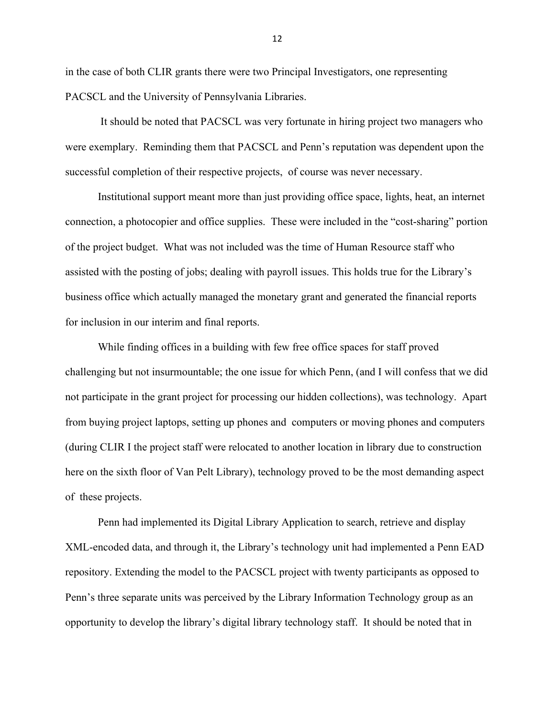in the case of both CLIR grants there were two Principal Investigators, one representing PACSCL and the University of Pennsylvania Libraries.

It should be noted that PACSCL was very fortunate in hiring project two managers who were exemplary. Reminding them that PACSCL and Penn's reputation was dependent upon the successful completion of their respective projects, of course was never necessary.

Institutional support meant more than just providing office space, lights, heat, an internet connection, a photocopier and office supplies. These were included in the "cost-sharing" portion of the project budget. What was not included was the time of Human Resource staff who assisted with the posting of jobs; dealing with payroll issues. This holds true for the Library's business office which actually managed the monetary grant and generated the financial reports for inclusion in our interim and final reports.

While finding offices in a building with few free office spaces for staff proved challenging but not insurmountable; the one issue for which Penn, (and I will confess that we did not participate in the grant project for processing our hidden collections), was technology. Apart from buying project laptops, setting up phones and computers or moving phones and computers (during CLIR I the project staff were relocated to another location in library due to construction here on the sixth floor of Van Pelt Library), technology proved to be the most demanding aspect of these projects.

Penn had implemented its Digital Library Application to search, retrieve and display XML-encoded data, and through it, the Library's technology unit had implemented a Penn EAD repository. Extending the model to the PACSCL project with twenty participants as opposed to Penn's three separate units was perceived by the Library Information Technology group as an opportunity to develop the library's digital library technology staff. It should be noted that in